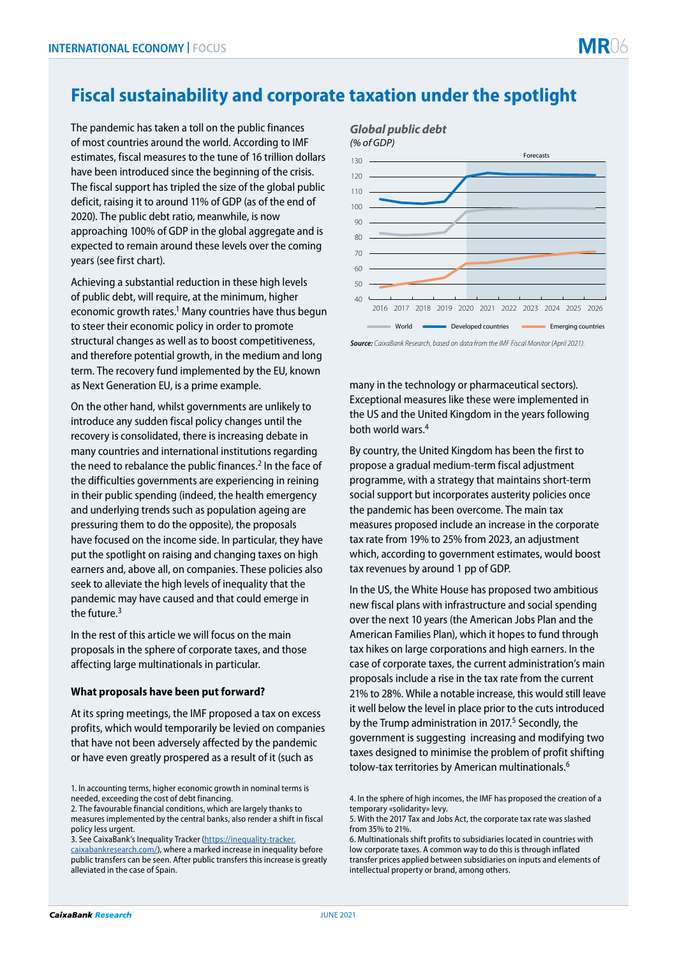## **Fiscal sustainability and corporate taxation under the spotlight**

The pandemic has taken a toll on the public finances of most countries around the world. According to IMF estimates, fiscal measures to the tune of 16 trillion dollars have been introduced since the beginning of the crisis. The fiscal support has tripled the size of the global public deficit, raising it to around 11% of GDP (as of the end of 2020). The public debt ratio, meanwhile, is now approaching 100% of GDP in the global aggregate and is expected to remain around these levels over the coming years (see first chart).

Achieving a substantial reduction in these high levels of public debt, will require, at the minimum, higher economic growth rates.<sup>1</sup> Many countries have thus begun to steer their economic policy in order to promote structural changes as well as to boost competitiveness, and therefore potential growth, in the medium and long term. The recovery fund implemented by the EU, known as Next Generation EU, is a prime example.

On the other hand, whilst governments are unlikely to introduce any sudden fiscal policy changes until the recovery is consolidated, there is increasing debate in many countries and international institutions regarding the need to rebalance the public finances.<sup>2</sup> In the face of the difficulties governments are experiencing in reining in their public spending (indeed, the health emergency and underlying trends such as population ageing are pressuring them to do the opposite), the proposals have focused on the income side. In particular, they have put the spotlight on raising and changing taxes on high earners and, above all, on companies. These policies also seek to alleviate the high levels of inequality that the pandemic may have caused and that could emerge in the future.3

In the rest of this article we will focus on the main proposals in the sphere of corporate taxes, and those affecting large multinationals in particular.

## **What proposals have been put forward?**

At its spring meetings, the IMF proposed a tax on excess profits, which would temporarily be levied on companies that have not been adversely affected by the pandemic or have even greatly prospered as a result of it (such as

3. See CaixaBank's Inequality Tracker ([https://inequality-tracker.](https://inequality-tracker.caixabankresearch.com/en) [caixabankresearch.com/\)](https://inequality-tracker.caixabankresearch.com/en), where a marked increase in inequality before public transfers can be seen. After public transfers this increase is greatly alleviated in the case of Spain.



*Source: CaixaBank Research, based on data from the IMF Fiscal Monitor (April 2021).*

many in the technology or pharmaceutical sectors). Exceptional measures like these were implemented in the US and the United Kingdom in the years following both world wars.4

By country, the United Kingdom has been the first to propose a gradual medium-term fiscal adjustment programme, with a strategy that maintains short-term social support but incorporates austerity policies once the pandemic has been overcome. The main tax measures proposed include an increase in the corporate tax rate from 19% to 25% from 2023, an adjustment which, according to government estimates, would boost tax revenues by around 1 pp of GDP.

In the US, the White House has proposed two ambitious new fiscal plans with infrastructure and social spending over the next 10 years (the American Jobs Plan and the American Families Plan), which it hopes to fund through tax hikes on large corporations and high earners. In the case of corporate taxes, the current administration's main proposals include a rise in the tax rate from the current 21% to 28%. While a notable increase, this would still leave it well below the level in place prior to the cuts introduced by the Trump administration in 2017.<sup>5</sup> Secondly, the government is suggesting increasing and modifying two taxes designed to minimise the problem of profit shifting tolow-tax territories by American multinationals.<sup>6</sup>

<sup>1.</sup> In accounting terms, higher economic growth in nominal terms is needed, exceeding the cost of debt financing.

<sup>2.</sup> The favourable financial conditions, which are largely thanks to measures implemented by the central banks, also render a shift in fiscal policy less urgent.

<sup>4.</sup> In the sphere of high incomes, the IMF has proposed the creation of a temporary «solidarity» levy.

<sup>5.</sup> With the 2017 Tax and Jobs Act, the corporate tax rate was slashed from 35% to 21%.

<sup>6.</sup> Multinationals shift profits to subsidiaries located in countries with low corporate taxes. A common way to do this is through inflated transfer prices applied between subsidiaries on inputs and elements of intellectual property or brand, among others.